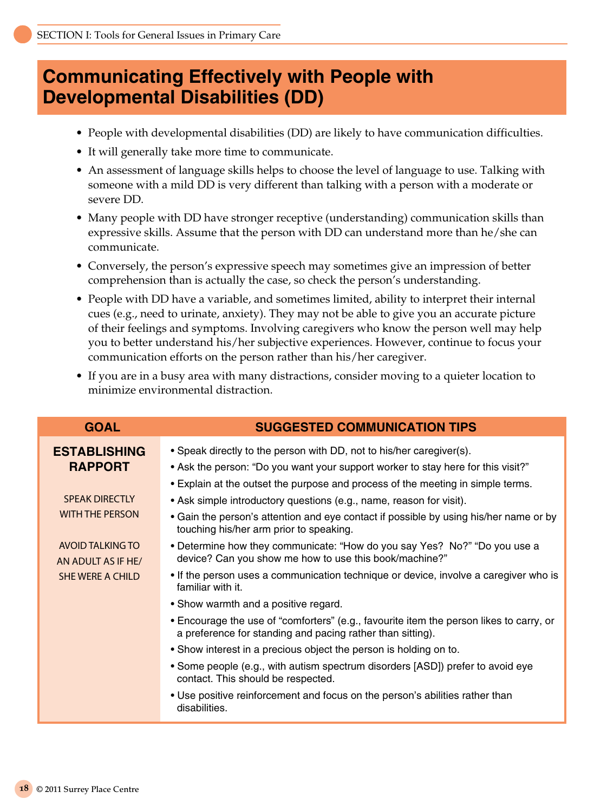## **Communicating Effectively with People with Developmental Disabilities (DD)**

- People with developmental disabilities (DD) are likely to have communication difficulties.
- It will generally take more time to communicate.
- An assessment of language skills helps to choose the level of language to use. Talking with someone with a mild DD is very different than talking with a person with a moderate or severe DD.
- Many people with DD have stronger receptive (understanding) communication skills than expressive skills. Assume that the person with DD can understand more than he/she can communicate.
- Conversely, the person's expressive speech may sometimes give an impression of better comprehension than is actually the case, so check the person's understanding.
- People with DD have a variable, and sometimes limited, ability to interpret their internal cues (e.g., need to urinate, anxiety). They may not be able to give you an accurate picture of their feelings and symptoms. Involving caregivers who know the person well may help you to better understand his/her subjective experiences. However, continue to focus your communication efforts on the person rather than his/her caregiver.
- If you are in a busy area with many distractions, consider moving to a quieter location to minimize environmental distraction.

|                                                                                              | <b>Communicating Effectively with People with</b><br><b>Developmental Disabilities (DD)</b>                                                                                                                                                                                                                                                                                       |
|----------------------------------------------------------------------------------------------|-----------------------------------------------------------------------------------------------------------------------------------------------------------------------------------------------------------------------------------------------------------------------------------------------------------------------------------------------------------------------------------|
| • People with developmental disabilities (DD) are likely to have communication difficulties. |                                                                                                                                                                                                                                                                                                                                                                                   |
|                                                                                              | • It will generally take more time to communicate.                                                                                                                                                                                                                                                                                                                                |
| severe DD.                                                                                   | • An assessment of language skills helps to choose the level of language to use. Talking with<br>someone with a mild DD is very different than talking with a person with a moderate or                                                                                                                                                                                           |
| communicate.                                                                                 | • Many people with DD have stronger receptive (understanding) communication skills than<br>expressive skills. Assume that the person with DD can understand more than he/she can                                                                                                                                                                                                  |
|                                                                                              | • Conversely, the person's expressive speech may sometimes give an impression of better<br>comprehension than is actually the case, so check the person's understanding.                                                                                                                                                                                                          |
|                                                                                              | • People with DD have a variable, and sometimes limited, ability to interpret their internal<br>cues (e.g., need to urinate, anxiety). They may not be able to give you an accurate picture<br>of their feelings and symptoms. Involving caregivers who know the person well may help<br>you to better understand his/her subjective experiences. However, continue to focus your |
|                                                                                              | communication efforts on the person rather than his/her caregiver.                                                                                                                                                                                                                                                                                                                |
|                                                                                              | • If you are in a busy area with many distractions, consider moving to a quieter location to<br>minimize environmental distraction.                                                                                                                                                                                                                                               |
| <b>GOAL</b>                                                                                  | <b>SUGGESTED COMMUNICATION TIPS</b>                                                                                                                                                                                                                                                                                                                                               |
| <b>ESTABLISHING</b>                                                                          | • Speak directly to the person with DD, not to his/her caregiver(s).                                                                                                                                                                                                                                                                                                              |
| <b>RAPPORT</b>                                                                               | • Ask the person: "Do you want your support worker to stay here for this visit?"                                                                                                                                                                                                                                                                                                  |
|                                                                                              | . Explain at the outset the purpose and process of the meeting in simple terms.                                                                                                                                                                                                                                                                                                   |
| <b>SPEAK DIRECTLY</b>                                                                        | • Ask simple introductory questions (e.g., name, reason for visit).                                                                                                                                                                                                                                                                                                               |
| <b>WITH THE PERSON</b>                                                                       | • Gain the person's attention and eye contact if possible by using his/her name or by<br>touching his/her arm prior to speaking.                                                                                                                                                                                                                                                  |
| <b>AVOID TALKING TO</b><br>AN ADULT AS IF HE/                                                | • Determine how they communicate: "How do you say Yes? No?" "Do you use a<br>device? Can you show me how to use this book/machine?"                                                                                                                                                                                                                                               |
| <b>SHE WERE A CHILD</b>                                                                      | • If the person uses a communication technique or device, involve a caregiver who is<br>familiar with it.                                                                                                                                                                                                                                                                         |
|                                                                                              | • Show warmth and a positive regard.                                                                                                                                                                                                                                                                                                                                              |
|                                                                                              | • Encourage the use of "comforters" (e.g., favourite item the person likes to carry, or<br>a preference for standing and pacing rather than sitting).                                                                                                                                                                                                                             |
|                                                                                              | • Show interest in a precious object the person is holding on to.                                                                                                                                                                                                                                                                                                                 |
|                                                                                              | • Some people (e.g., with autism spectrum disorders [ASD]) prefer to avoid eye<br>contact. This should be respected.                                                                                                                                                                                                                                                              |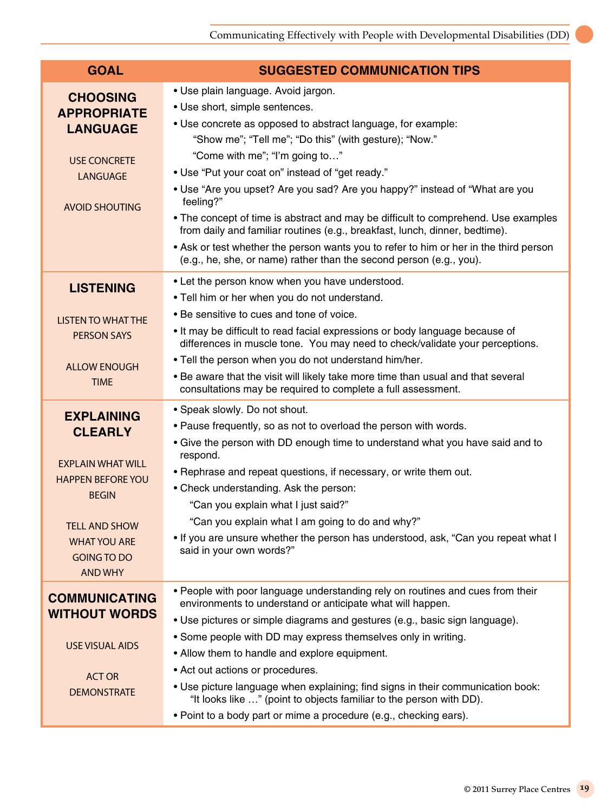$\bullet$ 

| <b>GOAL</b>                                                                         | <b>SUGGESTED COMMUNICATION TIPS</b>                                                                                                                                                                                                                                                                                               |
|-------------------------------------------------------------------------------------|-----------------------------------------------------------------------------------------------------------------------------------------------------------------------------------------------------------------------------------------------------------------------------------------------------------------------------------|
| <b>CHOOSING</b><br><b>APPROPRIATE</b><br><b>LANGUAGE</b>                            | • Use plain language. Avoid jargon.<br>• Use short, simple sentences.<br>• Use concrete as opposed to abstract language, for example:<br>"Show me"; "Tell me"; "Do this" (with gesture); "Now."<br>"Come with me"; "I'm going to"                                                                                                 |
| <b>USE CONCRETE</b><br><b>LANGUAGE</b>                                              | • Use "Put your coat on" instead of "get ready."<br>• Use "Are you upset? Are you sad? Are you happy?" instead of "What are you<br>feeling?"                                                                                                                                                                                      |
| <b>AVOID SHOUTING</b>                                                               | • The concept of time is abstract and may be difficult to comprehend. Use examples<br>from daily and familiar routines (e.g., breakfast, lunch, dinner, bedtime).<br>• Ask or test whether the person wants you to refer to him or her in the third person<br>(e.g., he, she, or name) rather than the second person (e.g., you). |
| <b>LISTENING</b>                                                                    | • Let the person know when you have understood.<br>. Tell him or her when you do not understand.                                                                                                                                                                                                                                  |
| <b>LISTEN TO WHAT THE</b><br><b>PERSON SAYS</b>                                     | • Be sensitive to cues and tone of voice.<br>. It may be difficult to read facial expressions or body language because of<br>differences in muscle tone. You may need to check/validate your perceptions.                                                                                                                         |
| <b>ALLOW ENOUGH</b><br><b>TIME</b>                                                  | . Tell the person when you do not understand him/her.<br>• Be aware that the visit will likely take more time than usual and that several<br>consultations may be required to complete a full assessment.                                                                                                                         |
| <b>EXPLAINING</b><br><b>CLEARLY</b>                                                 | • Speak slowly. Do not shout.<br>. Pause frequently, so as not to overload the person with words.<br>• Give the person with DD enough time to understand what you have said and to                                                                                                                                                |
| <b>EXPLAIN WHAT WILL</b><br><b>HAPPEN BEFORE YOU</b><br><b>BEGIN</b>                | respond.<br>• Rephrase and repeat questions, if necessary, or write them out.<br>• Check understanding. Ask the person:<br>"Can you explain what I just said?"                                                                                                                                                                    |
| <b>TELL AND SHOW</b><br><b>WHAT YOU ARE</b><br><b>GOING TO DO</b><br><b>AND WHY</b> | "Can you explain what I am going to do and why?"<br>. If you are unsure whether the person has understood, ask, "Can you repeat what I<br>said in your own words?"                                                                                                                                                                |
| <b>COMMUNICATING</b><br><b>WITHOUT WORDS</b>                                        | . People with poor language understanding rely on routines and cues from their<br>environments to understand or anticipate what will happen.<br>• Use pictures or simple diagrams and gestures (e.g., basic sign language).                                                                                                       |
| <b>USE VISUAL AIDS</b>                                                              | • Some people with DD may express themselves only in writing.<br>• Allow them to handle and explore equipment.                                                                                                                                                                                                                    |
| <b>ACT OR</b><br><b>DEMONSTRATE</b>                                                 | • Act out actions or procedures.<br>. Use picture language when explaining; find signs in their communication book:<br>"It looks like " (point to objects familiar to the person with DD).<br>• Point to a body part or mime a procedure (e.g., checking ears).                                                                   |
|                                                                                     |                                                                                                                                                                                                                                                                                                                                   |